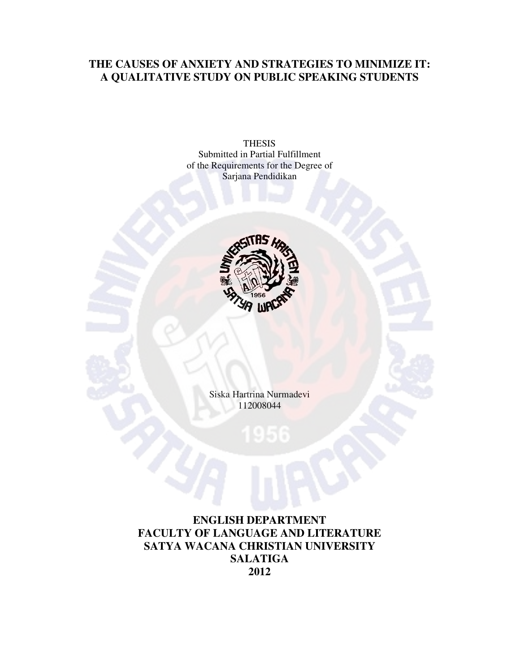**THESIS** Submitted in Partial Fulfillment of the Requirements for the Degree of Sarjana Pendidikan



Siska Hartrina Nurmadevi 112008044

**ENGLISH DEPARTMENT FACULTY OF LANGUAGE AND LITERATURE SATYA WACANA CHRISTIAN UNIVERSITY SALATIGA 2012**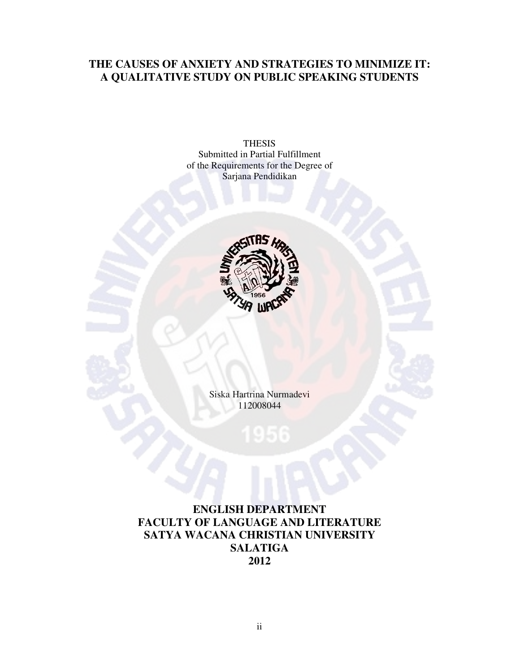**THESIS** Submitted in Partial Fulfillment of the Requirements for the Degree of Sarjana Pendidikan



Siska Hartrina Nurmadevi 112008044

**ENGLISH DEPARTMENT FACULTY OF LANGUAGE AND LITERATURE SATYA WACANA CHRISTIAN UNIVERSITY SALATIGA 2012**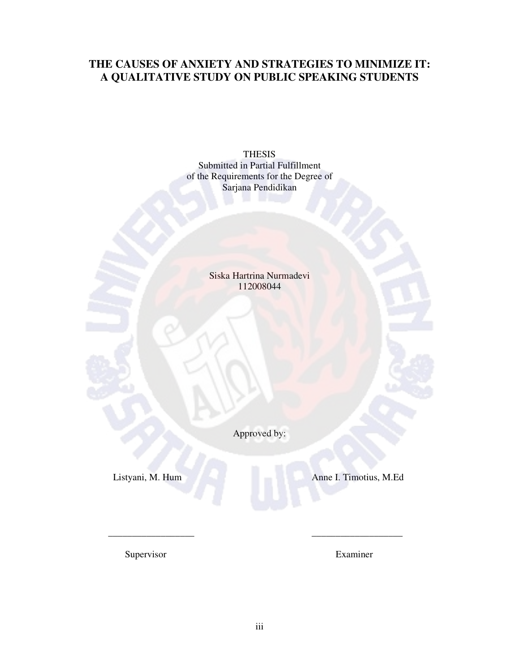THESIS Submitted in Partial Fulfillment of the Requirements for the Degree of Sarjana Pendidikan

> Siska Hartrina Nurmadevi 112008044

> > Approved by:

Listyani, M. Hum Anne I. Timotius, M.Ed

Supervisor Examiner

 $\overline{\phantom{a}}$  ,  $\overline{\phantom{a}}$  ,  $\overline{\phantom{a}}$  ,  $\overline{\phantom{a}}$  ,  $\overline{\phantom{a}}$  ,  $\overline{\phantom{a}}$  ,  $\overline{\phantom{a}}$  ,  $\overline{\phantom{a}}$  ,  $\overline{\phantom{a}}$  ,  $\overline{\phantom{a}}$  ,  $\overline{\phantom{a}}$  ,  $\overline{\phantom{a}}$  ,  $\overline{\phantom{a}}$  ,  $\overline{\phantom{a}}$  ,  $\overline{\phantom{a}}$  ,  $\overline{\phantom{a}}$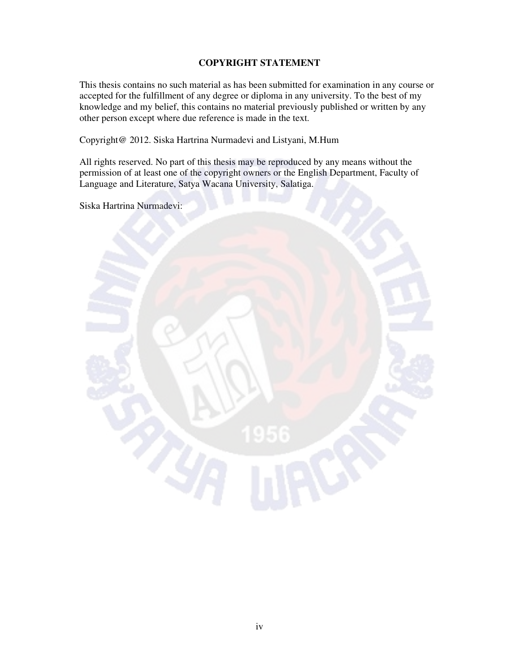#### **COPYRIGHT STATEMENT**

This thesis contains no such material as has been submitted for examination in any course or accepted for the fulfillment of any degree or diploma in any university. To the best of my knowledge and my belief, this contains no material previously published or written by any other person except where due reference is made in the text.

Copyright@ 2012. Siska Hartrina Nurmadevi and Listyani, M.Hum

All rights reserved. No part of this thesis may be reproduced by any means without the permission of at least one of the copyright owners or the English Department, Faculty of Language and Literature, Satya Wacana University, Salatiga.

Siska Hartrina Nurmadevi:

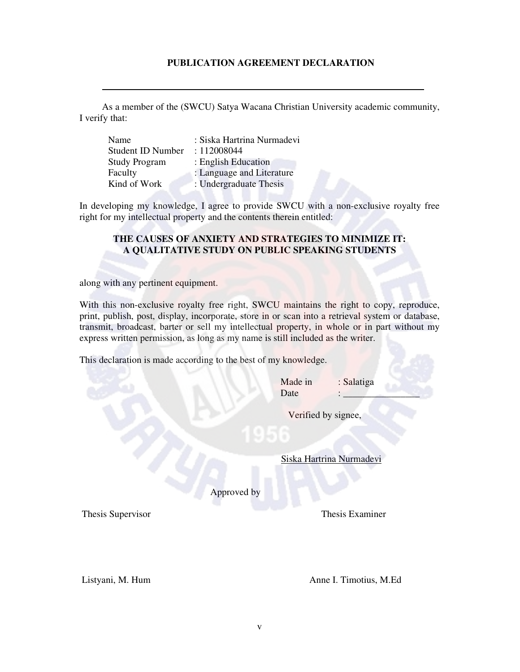#### **PUBLICATION AGREEMENT DECLARATION**

As a member of the (SWCU) Satya Wacana Christian University academic community, I verify that:

| Name                     | : Siska Hartrina Nurmadevi |
|--------------------------|----------------------------|
| <b>Student ID Number</b> | : 112008044                |
| <b>Study Program</b>     | : English Education        |
| Faculty                  | : Language and Literature  |
| Kind of Work             | : Undergraduate Thesis     |

In developing my knowledge, I agree to provide SWCU with a non-exclusive royalty free right for my intellectual property and the contents therein entitled:

#### **THE CAUSES OF ANXIETY AND STRATEGIES TO MINIMIZE IT: A QUALITATIVE STUDY ON PUBLIC SPEAKING STUDENTS**

along with any pertinent equipment.

With this non-exclusive royalty free right, SWCU maintains the right to copy, reproduce, print, publish, post, display, incorporate, store in or scan into a retrieval system or database, transmit, broadcast, barter or sell my intellectual property, in whole or in part without my express written permission, as long as my name is still included as the writer.

This declaration is made according to the best of my knowledge.

Made in : Salatiga

Verified by signee,

Date

Siska Hartrina Nurmadevi

Approved by

Thesis Supervisor Thesis Examiner

Listyani, M. Hum Anne I. Timotius, M.Ed